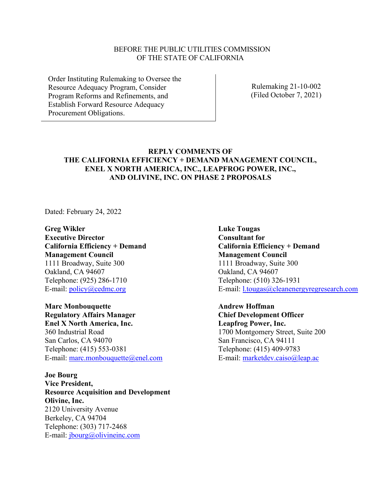#### BEFORE THE PUBLIC UTILITIES COMMISSION OF THE STATE OF CALIFORNIA

Order Instituting Rulemaking to Oversee the Resource Adequacy Program, Consider Program Reforms and Refinements, and Establish Forward Resource Adequacy Procurement Obligations.

Rulemaking 21-10-002 (Filed October 7, 2021)

## **REPLY COMMENTS OF THE CALIFORNIA EFFICIENCY + DEMAND MANAGEMENT COUNCIL, ENEL X NORTH AMERICA, INC., LEAPFROG POWER, INC., AND OLIVINE, INC. ON PHASE 2 PROPOSALS**

Dated: February 24, 2022

**Greg Wikler Executive Director California Efficiency + Demand Management Council** 1111 Broadway, Suite 300 Oakland, CA 94607 Telephone: (925) 286-1710 E-mail: <u>policy@cedmc.org</u>

**Marc Monbouquette Regulatory Affairs Manager Enel X North America, Inc.** 360 Industrial Road San Carlos, CA 94070 Telephone: (415) 553-0381 E-mail: [marc.monbouquette@enel.com](mailto:marc.monbouquette@enel.com)

**Joe Bourg Vice President, Resource Acquisition and Development Olivine, Inc.** 2120 University Avenue Berkeley, CA 94704 Telephone: (303) 717-2468 E-mail: [jbourg@olivineinc.com](mailto:jbourg@olivineinc.com)

**Luke Tougas Consultant for California Efficiency + Demand Management Council** 1111 Broadway, Suite 300 Oakland, CA 94607 Telephone: (510) 326-1931 E-mail: [l.tougas@cleanenergyregresearch.com](mailto:l.tougas@cleanenergyregresearch.com)

**Andrew Hoffman Chief Development Officer Leapfrog Power, Inc.** 1700 Montgomery Street, Suite 200 San Francisco, CA 94111 Telephone: (415) 409-9783 E-mail: [marketdev.caiso@leap.ac](mailto:marketdev.caiso@leap.ac)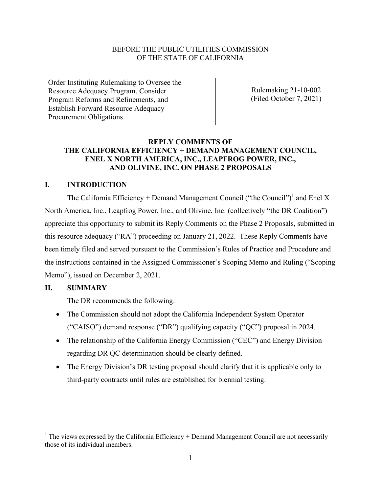### BEFORE THE PUBLIC UTILITIES COMMISSION OF THE STATE OF CALIFORNIA

Order Instituting Rulemaking to Oversee the Resource Adequacy Program, Consider Program Reforms and Refinements, and Establish Forward Resource Adequacy Procurement Obligations.

Rulemaking 21-10-002 (Filed October 7, 2021)

## **REPLY COMMENTS OF THE CALIFORNIA EFFICIENCY + DEMAND MANAGEMENT COUNCIL, ENEL X NORTH AMERICA, INC., LEAPFROG POWER, INC., AND OLIVINE, INC. ON PHASE 2 PROPOSALS**

#### **I. INTRODUCTION**

The California Efficiency + Demand Management Council ("the Council")<sup>1</sup> and Enel X North America, Inc., Leapfrog Power, Inc., and Olivine, Inc. (collectively "the DR Coalition") appreciate this opportunity to submit its Reply Comments on the Phase 2 Proposals, submitted in this resource adequacy ("RA") proceeding on January 21, 2022. These Reply Comments have been timely filed and served pursuant to the Commission's Rules of Practice and Procedure and the instructions contained in the Assigned Commissioner's Scoping Memo and Ruling ("Scoping Memo"), issued on December 2, 2021.

#### **II. SUMMARY**

The DR recommends the following:

- The Commission should not adopt the California Independent System Operator ("CAISO") demand response ("DR") qualifying capacity ("QC") proposal in 2024.
- The relationship of the California Energy Commission ("CEC") and Energy Division regarding DR QC determination should be clearly defined.
- The Energy Division's DR testing proposal should clarify that it is applicable only to third-party contracts until rules are established for biennial testing.

 $1$  The views expressed by the California Efficiency + Demand Management Council are not necessarily those of its individual members.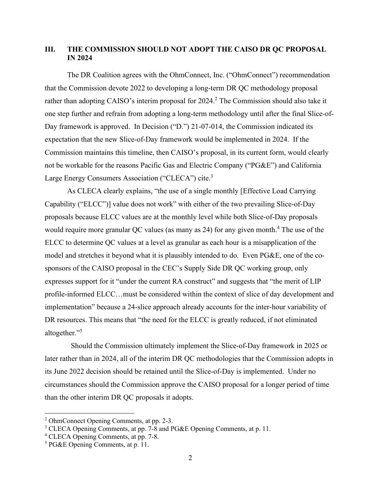## **III. THE COMMISSION SHOULD NOT ADOPT THE CAISO DR QC PROPOSAL IN 2024**

The DR Coalition agrees with the OhmConnect, Inc. ("OhmConnect") recommendation that the Commission devote 2022 to developing a long-term DR QC methodology proposal rather than adopting CAISO's interim proposal for 2024.<sup>2</sup> The Commission should also take it one step further and refrain from adopting a long-term methodology until after the final Slice-of-Day framework is approved. In Decision ("D.") 21-07-014, the Commission indicated its expectation that the new Slice-of-Day framework would be implemented in 2024. If the Commission maintains this timeline, then CAISO's proposal, in its current form, would clearly not be workable for the reasons Pacific Gas and Electric Company ("PG&E") and California Large Energy Consumers Association ("CLECA") cite.<sup>3</sup>

As CLECA clearly explains, "the use of a single monthly [Effective Load Carrying Capability ("ELCC")] value does not work" with either of the two prevailing Slice-of-Day proposals because ELCC values are at the monthly level while both Slice-of-Day proposals would require more granular QC values (as many as 24) for any given month.<sup>4</sup> The use of the ELCC to determine QC values at a level as granular as each hour is a misapplication of the model and stretches it beyond what it is plausibly intended to do. Even PG&E, one of the cosponsors of the CAISO proposal in the CEC's Supply Side DR QC working group, only expresses support for it "under the current RA construct" and suggests that "the merit of LIP profile-informed ELCC…must be considered within the context of slice of day development and implementation" because a 24-slice approach already accounts for the inter-hour variability of DR resources. This means that "the need for the ELCC is greatly reduced, if not eliminated altogether." 5

 Should the Commission ultimately implement the Slice-of-Day framework in 2025 or later rather than in 2024, all of the interim DR QC methodologies that the Commission adopts in its June 2022 decision should be retained until the Slice-of-Day is implemented. Under no circumstances should the Commission approve the CAISO proposal for a longer period of time than the other interim DR QC proposals it adopts.

<sup>2</sup> OhmConnect Opening Comments, at pp. 2-3.

<sup>&</sup>lt;sup>3</sup> CLECA Opening Comments, at pp. 7-8 and PG&E Opening Comments, at p. 11.

<sup>4</sup> CLECA Opening Comments, at pp. 7-8.

<sup>5</sup> PG&E Opening Comments, at p. 11.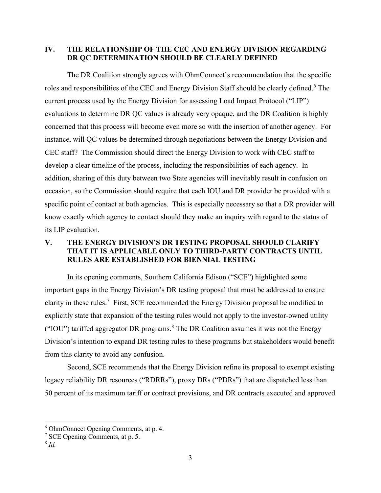### **IV. THE RELATIONSHIP OF THE CEC AND ENERGY DIVISION REGARDING DR QC DETERMINATION SHOULD BE CLEARLY DEFINED**

The DR Coalition strongly agrees with OhmConnect's recommendation that the specific roles and responsibilities of the CEC and Energy Division Staff should be clearly defined.<sup>6</sup> The current process used by the Energy Division for assessing Load Impact Protocol ("LIP") evaluations to determine DR QC values is already very opaque, and the DR Coalition is highly concerned that this process will become even more so with the insertion of another agency. For instance, will QC values be determined through negotiations between the Energy Division and CEC staff? The Commission should direct the Energy Division to work with CEC staff to develop a clear timeline of the process, including the responsibilities of each agency. In addition, sharing of this duty between two State agencies will inevitably result in confusion on occasion, so the Commission should require that each IOU and DR provider be provided with a specific point of contact at both agencies. This is especially necessary so that a DR provider will know exactly which agency to contact should they make an inquiry with regard to the status of its LIP evaluation.

# **V. THE ENERGY DIVISION'S DR TESTING PROPOSAL SHOULD CLARIFY THAT IT IS APPLICABLE ONLY TO THIRD-PARTY CONTRACTS UNTIL RULES ARE ESTABLISHED FOR BIENNIAL TESTING**

In its opening comments, Southern California Edison ("SCE") highlighted some important gaps in the Energy Division's DR testing proposal that must be addressed to ensure clarity in these rules.<sup>7</sup> First, SCE recommended the Energy Division proposal be modified to explicitly state that expansion of the testing rules would not apply to the investor-owned utility ("IOU") tariffed aggregator DR programs.<sup>8</sup> The DR Coalition assumes it was not the Energy Division's intention to expand DR testing rules to these programs but stakeholders would benefit from this clarity to avoid any confusion.

Second, SCE recommends that the Energy Division refine its proposal to exempt existing legacy reliability DR resources ("RDRRs"), proxy DRs ("PDRs") that are dispatched less than 50 percent of its maximum tariff or contract provisions, and DR contracts executed and approved

<sup>6</sup> OhmConnect Opening Comments, at p. 4.

<sup>7</sup> SCE Opening Comments, at p. 5.

<sup>8</sup> *Id.*